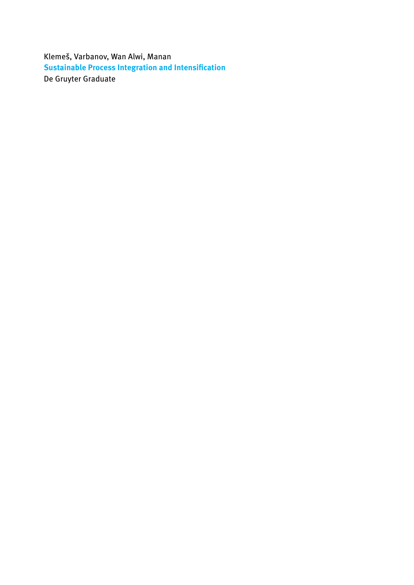Klemeš, Varbanov, Wan Alwi, Manan **Sustainable Process Integration and Intensification** De Gruyter Graduate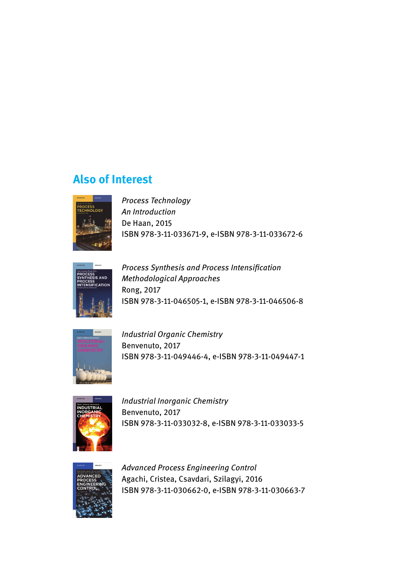## **Also of Interest**



*Process Technology An Introduction* De Haan, 2015 ISBN 978-3-11-033671-9, e-ISBN 978-3-11-033672-6



*Process Synthesis and Process Intensification Methodological Approaches* Rong, 2017 ISBN 978-3-11-046505-1, e-ISBN 978-3-11-046506-8



*Industrial Organic Chemistry* Benvenuto, 2017 ISBN 978-3-11-049446-4, e-ISBN 978-3-11-049447-1



*Industrial Inorganic Chemistry* Benvenuto, 2017 ISBN 978-3-11-033032-8, e-ISBN 978-3-11-033033-5



*Advanced Process Engineering Control* Agachi, Cristea, Csavdari, Szilagyi, 2016 ISBN 978-3-11-030662-0, e-ISBN 978-3-11-030663-7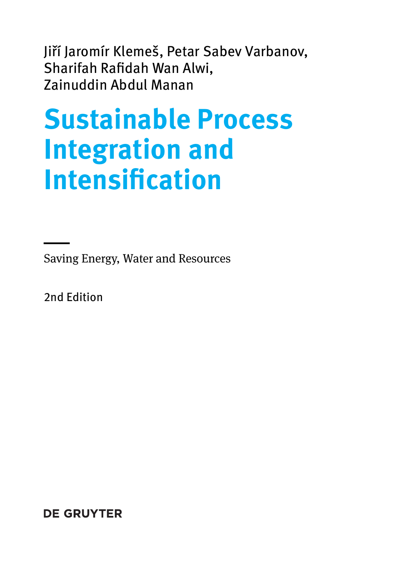Jiří Jaromír Klemeš, Petar Sabev Varbanov, Sharifah Rafidah Wan Alwi, Zainuddin Abdul Manan

# **Sustainable Process Integration and Intensification**

Saving Energy, Water and Resources

2nd Edition

—<br>—

**DE GRUYTER**